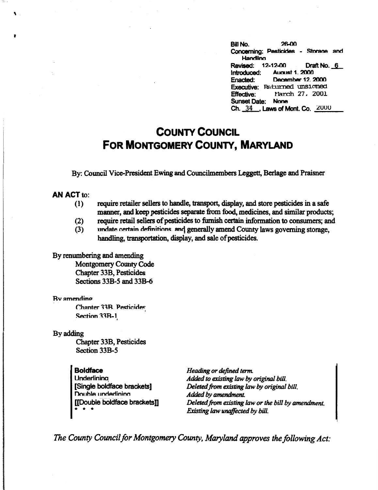Bill No. 26.00 **Concerning: Pesticides - Storace and Handling Revised: 12-12-00 Draft No.\_§\_ Introduced: August 1. 2000**<br> **Enacted: December 12. 2** December 12, 2000 Executive: Returned unsigned<br>197. Effective: 197. 2001 **Effective:** rtarch 27. 2001 Sunset Date: None Ch. 34 . Laws of Mont. Co.  $2000$ 

## **COUNTY COUNCIL FOR MONTGOMERY COUNTY, MARYLAND**

By: Council Vice-President Ewing and Councilmembers Leggett, Berlage and Praisner

## **AN ACT** to:

- (1) require retailer sellers to handle, transport, display, and store pesticides in a safe manner, and keep pesticides separate from food, medicines, and similar products;
- (2) require retail sellers of pesticides to furnish certain information to consumers; and
- (3) undate certain definitions, and generally amend County laws governing storage, handling, transportation, display, and sale of pesticides.

## By renumbering and amending

Montgomery County Code Chapter 33B, Pesticides Sections 33B-5 and 33B-6

## Rvamendino

Chanter 33B. Pesticides Section 33B-1 '

By adding

Chapter 33B, Pesticides Section 33B-5

**Boldface Underlining** [Single boldface brackets] **Double underlining** [[Double boldface bracketsD \* \* \*

*Heading or defined term. Added to existing law by original bill. Deleted.from existing law by original bill. Added by amendment. Deleted from existing law or the bill by amendment. Existing law unaffected by bill.* 

*The County Council for Montgomery County, Maryland approves the following Act:*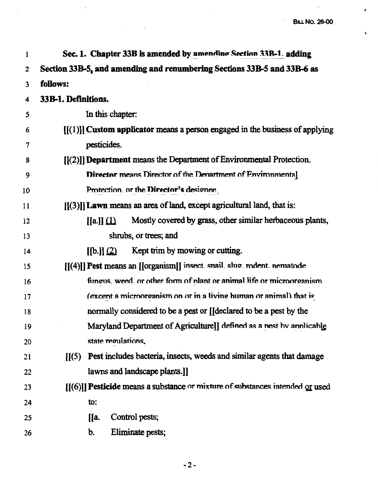$\mathcal{L}^{\mathcal{L}}$ 

 $\pmb{\epsilon}$ 

 $\ddot{\phantom{0}}$ 

| 1  | Sec. 1. Chapter 33B is amended by amending Section 33B-1. adding                         |
|----|------------------------------------------------------------------------------------------|
| 2  | Section 33B-5, and amending and renumbering Sections 33B-5 and 33B-6 as                  |
| 3  | follows:                                                                                 |
| 4  | 33B-1. Definitions.                                                                      |
| 5  | In this chapter:                                                                         |
| 6  | $[[(1)]$ Custom applicator means a person engaged in the business of applying            |
| 7  | pesticides.                                                                              |
| 8  | $[[(2)]$ ] Department means the Department of Environmental Protection.                  |
| 9  | <b>Director means Director of the Denartment of Environmental</b>                        |
| 10 | Protection. or the Director's designee                                                   |
| 11 | $[[(3)]$ Lawn means an area of land, except agricultural land, that is:                  |
| 12 | Mostly covered by grass, other similar herbaceous plants,<br>$[[a]](\underline{1})$      |
| 13 | shrubs, or trees; and                                                                    |
| 14 | Kept trim by mowing or cutting.<br>$\left[\left[\mathsf{b.}\right]\right]\left(2\right)$ |
| 15 | [[(4)]] Pest means an [[organism]] insect. snail. slug. rodent. nematode                 |
| 16 | fungus, weed, or other form of plant or animal life or microorganism                     |
| 17 | (excent a microorganism on or in a living human or animal) that is                       |
| 18 | normally considered to be a pest or [[declared to be a pest by the                       |
| 19 | Maryland Department of Agriculture]] defined as a nest by annlicable                     |
| 20 | state regulations.                                                                       |
| 21 | $[1(5)$ Pest includes bacteria, insects, weeds and similar agents that damage            |
| 22 | lawns and landscape plants.]                                                             |
| 23 | $[[(6)]]$ Pesticide means a substance or mixture of substances intended or used          |
| 24 | to:                                                                                      |
| 25 | Control pests;<br><b>[</b> [a.                                                           |
| 26 | Eliminate pests;<br>b.                                                                   |

 $\label{eq:2.1} \frac{1}{\sqrt{2\pi}}\int_{0}^{\infty}\frac{1}{\sqrt{2\pi}}\left(\frac{1}{\sqrt{2\pi}}\right)^{2\pi} \frac{1}{\sqrt{2\pi}}\frac{1}{\sqrt{2\pi}}\int_{0}^{\infty}\frac{1}{\sqrt{2\pi}}\frac{1}{\sqrt{2\pi}}\frac{1}{\sqrt{2\pi}}\frac{1}{\sqrt{2\pi}}\frac{1}{\sqrt{2\pi}}\frac{1}{\sqrt{2\pi}}\frac{1}{\sqrt{2\pi}}\frac{1}{\sqrt{2\pi}}\frac{1}{\sqrt{2\pi}}\frac{1}{\sqrt{2\pi}}\frac{$ 

 $\mathbb{R}^2$ 

 $\label{eq:2.1} \mathcal{L}^{\text{max}}_{\text{max}}(\mathcal{L}^{\text{max}}_{\text{max}}, \mathcal{L}^{\text{max}}_{\text{max}})$ 

 $\hat{\boldsymbol{\beta}}$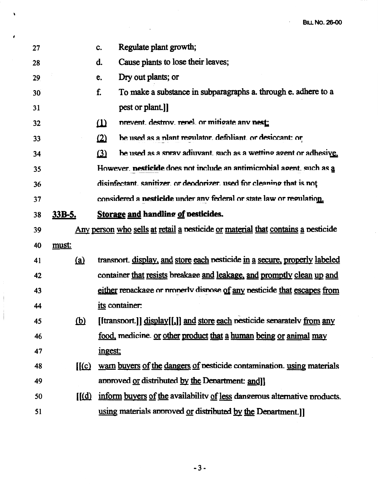| 27              |                          | Regulate plant growth;<br>c.                                                     |
|-----------------|--------------------------|----------------------------------------------------------------------------------|
| 28              |                          | Cause plants to lose their leaves;<br>d.                                         |
| 29              |                          | Dry out plants; or<br>e.                                                         |
| 30 <sup>°</sup> |                          | To make a substance in subparagraphs a. through e. adhere to a<br>f.             |
| 31              |                          | pest or plant.]]                                                                 |
| 32              |                          | prevent. destroy. renel. or mitigate any nest:<br>$\omega$                       |
| 33              |                          | be used as a plant regulator, defoliant, or desiccant; or<br>(2)                 |
| 34              |                          | be used as a spray adjuvant such as a wetting agent or adhesive.<br>$\Omega$     |
| 35              |                          | However, nesticide does not include an antimicrobial agent, such as a            |
| 36              |                          | disinfectant, sanitizer, or deodorizer, used for cleaning that is not            |
| 37              |                          | considered a nesticide under any federal or state law or regulation.             |
| 38              | 33B-5.                   | <b>Storage and handling of pesticides.</b>                                       |
| 39              |                          | Any person who sells at retail a pesticide or material that contains a pesticide |
| 40              | must:                    |                                                                                  |
| 41              | (a)                      | transport. display, and store each pesticide in a secure, properly labeled       |
| 42              |                          | container that resists breakage and leakage, and promptly clean up and           |
| 43              |                          | either repackage or properly dispose of any pesticide that escapes from          |
| 44              |                          | its container:                                                                   |
| 45              | <u>(b)</u>               | [ftransport.]] display[[,]] and store each pesticide separately from any         |
| 46              |                          | <u>food</u> , medicine. <u>or other product that a human being or animal may</u> |
| 47              |                          | ingest;                                                                          |
| 48              | $\mathbf{I}(\mathbf{c})$ | warn buyers of the dangers of pesticide contamination. using materials           |
| 49              |                          | approved or distributed by the Department: and l                                 |
| 50              | $\mathbf{I}(\mathbf{d})$ | inform buyers of the availability of less dangerous alternative products.        |
| 51              |                          | using materials approved or distributed by the Department.                       |

Ÿ

J

 $-3-$